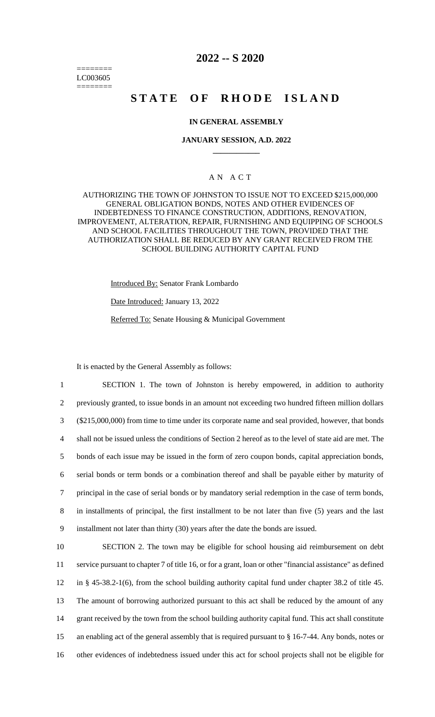======== LC003605 ========

## **2022 -- S 2020**

# **STATE OF RHODE ISLAND**

### **IN GENERAL ASSEMBLY**

#### **JANUARY SESSION, A.D. 2022 \_\_\_\_\_\_\_\_\_\_\_\_**

## A N A C T

AUTHORIZING THE TOWN OF JOHNSTON TO ISSUE NOT TO EXCEED \$215,000,000 GENERAL OBLIGATION BONDS, NOTES AND OTHER EVIDENCES OF INDEBTEDNESS TO FINANCE CONSTRUCTION, ADDITIONS, RENOVATION, IMPROVEMENT, ALTERATION, REPAIR, FURNISHING AND EQUIPPING OF SCHOOLS AND SCHOOL FACILITIES THROUGHOUT THE TOWN, PROVIDED THAT THE AUTHORIZATION SHALL BE REDUCED BY ANY GRANT RECEIVED FROM THE SCHOOL BUILDING AUTHORITY CAPITAL FUND

Introduced By: Senator Frank Lombardo

Date Introduced: January 13, 2022

Referred To: Senate Housing & Municipal Government

It is enacted by the General Assembly as follows:

 SECTION 1. The town of Johnston is hereby empowered, in addition to authority previously granted, to issue bonds in an amount not exceeding two hundred fifteen million dollars (\$215,000,000) from time to time under its corporate name and seal provided, however, that bonds shall not be issued unless the conditions of Section 2 hereof as to the level of state aid are met. The bonds of each issue may be issued in the form of zero coupon bonds, capital appreciation bonds, serial bonds or term bonds or a combination thereof and shall be payable either by maturity of principal in the case of serial bonds or by mandatory serial redemption in the case of term bonds, in installments of principal, the first installment to be not later than five (5) years and the last installment not later than thirty (30) years after the date the bonds are issued. SECTION 2. The town may be eligible for school housing aid reimbursement on debt

 service pursuant to chapter 7 of title 16, or for a grant, loan or other "financial assistance" as defined in § 45-38.2-1(6), from the school building authority capital fund under chapter 38.2 of title 45. The amount of borrowing authorized pursuant to this act shall be reduced by the amount of any 14 grant received by the town from the school building authority capital fund. This act shall constitute an enabling act of the general assembly that is required pursuant to § 16-7-44. Any bonds, notes or other evidences of indebtedness issued under this act for school projects shall not be eligible for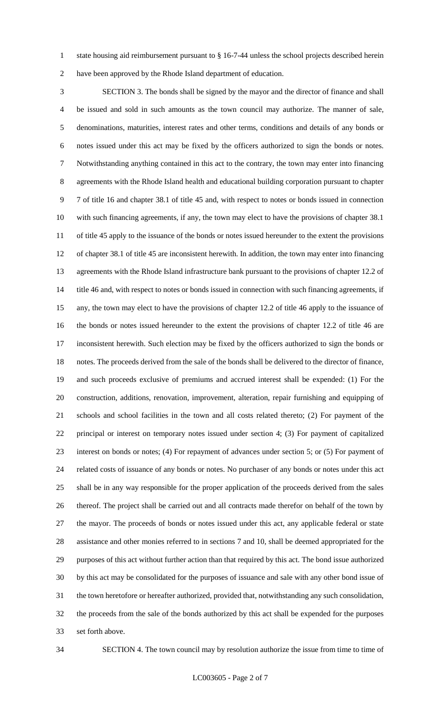1 state housing aid reimbursement pursuant to § 16-7-44 unless the school projects described herein have been approved by the Rhode Island department of education.

 SECTION 3. The bonds shall be signed by the mayor and the director of finance and shall be issued and sold in such amounts as the town council may authorize. The manner of sale, denominations, maturities, interest rates and other terms, conditions and details of any bonds or notes issued under this act may be fixed by the officers authorized to sign the bonds or notes. Notwithstanding anything contained in this act to the contrary, the town may enter into financing agreements with the Rhode Island health and educational building corporation pursuant to chapter 7 of title 16 and chapter 38.1 of title 45 and, with respect to notes or bonds issued in connection with such financing agreements, if any, the town may elect to have the provisions of chapter 38.1 of title 45 apply to the issuance of the bonds or notes issued hereunder to the extent the provisions of chapter 38.1 of title 45 are inconsistent herewith. In addition, the town may enter into financing agreements with the Rhode Island infrastructure bank pursuant to the provisions of chapter 12.2 of 14 title 46 and, with respect to notes or bonds issued in connection with such financing agreements, if any, the town may elect to have the provisions of chapter 12.2 of title 46 apply to the issuance of the bonds or notes issued hereunder to the extent the provisions of chapter 12.2 of title 46 are inconsistent herewith. Such election may be fixed by the officers authorized to sign the bonds or notes. The proceeds derived from the sale of the bonds shall be delivered to the director of finance, and such proceeds exclusive of premiums and accrued interest shall be expended: (1) For the construction, additions, renovation, improvement, alteration, repair furnishing and equipping of schools and school facilities in the town and all costs related thereto; (2) For payment of the principal or interest on temporary notes issued under section 4; (3) For payment of capitalized interest on bonds or notes; (4) For repayment of advances under section 5; or (5) For payment of related costs of issuance of any bonds or notes. No purchaser of any bonds or notes under this act shall be in any way responsible for the proper application of the proceeds derived from the sales thereof. The project shall be carried out and all contracts made therefor on behalf of the town by the mayor. The proceeds of bonds or notes issued under this act, any applicable federal or state assistance and other monies referred to in sections 7 and 10, shall be deemed appropriated for the purposes of this act without further action than that required by this act. The bond issue authorized by this act may be consolidated for the purposes of issuance and sale with any other bond issue of the town heretofore or hereafter authorized, provided that, notwithstanding any such consolidation, the proceeds from the sale of the bonds authorized by this act shall be expended for the purposes set forth above.

SECTION 4. The town council may by resolution authorize the issue from time to time of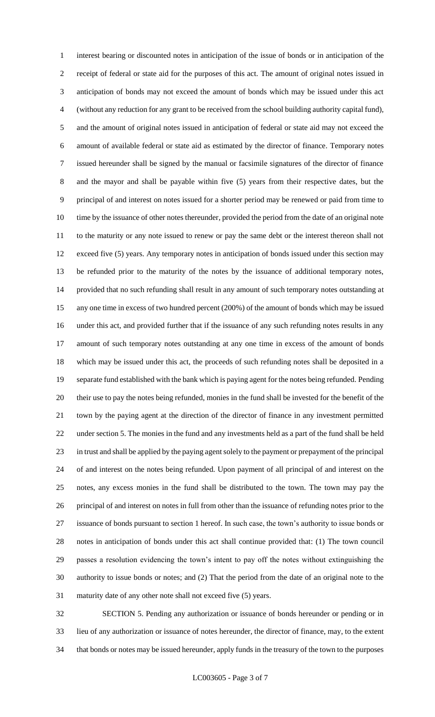interest bearing or discounted notes in anticipation of the issue of bonds or in anticipation of the receipt of federal or state aid for the purposes of this act. The amount of original notes issued in anticipation of bonds may not exceed the amount of bonds which may be issued under this act (without any reduction for any grant to be received from the school building authority capital fund), and the amount of original notes issued in anticipation of federal or state aid may not exceed the amount of available federal or state aid as estimated by the director of finance. Temporary notes issued hereunder shall be signed by the manual or facsimile signatures of the director of finance and the mayor and shall be payable within five (5) years from their respective dates, but the principal of and interest on notes issued for a shorter period may be renewed or paid from time to time by the issuance of other notes thereunder, provided the period from the date of an original note to the maturity or any note issued to renew or pay the same debt or the interest thereon shall not exceed five (5) years. Any temporary notes in anticipation of bonds issued under this section may be refunded prior to the maturity of the notes by the issuance of additional temporary notes, provided that no such refunding shall result in any amount of such temporary notes outstanding at any one time in excess of two hundred percent (200%) of the amount of bonds which may be issued under this act, and provided further that if the issuance of any such refunding notes results in any amount of such temporary notes outstanding at any one time in excess of the amount of bonds which may be issued under this act, the proceeds of such refunding notes shall be deposited in a separate fund established with the bank which is paying agent for the notes being refunded. Pending their use to pay the notes being refunded, monies in the fund shall be invested for the benefit of the town by the paying agent at the direction of the director of finance in any investment permitted under section 5. The monies in the fund and any investments held as a part of the fund shall be held in trust and shall be applied by the paying agent solely to the payment or prepayment of the principal of and interest on the notes being refunded. Upon payment of all principal of and interest on the notes, any excess monies in the fund shall be distributed to the town. The town may pay the principal of and interest on notes in full from other than the issuance of refunding notes prior to the issuance of bonds pursuant to section 1 hereof. In such case, the town's authority to issue bonds or notes in anticipation of bonds under this act shall continue provided that: (1) The town council passes a resolution evidencing the town's intent to pay off the notes without extinguishing the authority to issue bonds or notes; and (2) That the period from the date of an original note to the maturity date of any other note shall not exceed five (5) years.

 SECTION 5. Pending any authorization or issuance of bonds hereunder or pending or in lieu of any authorization or issuance of notes hereunder, the director of finance, may, to the extent that bonds or notes may be issued hereunder, apply funds in the treasury of the town to the purposes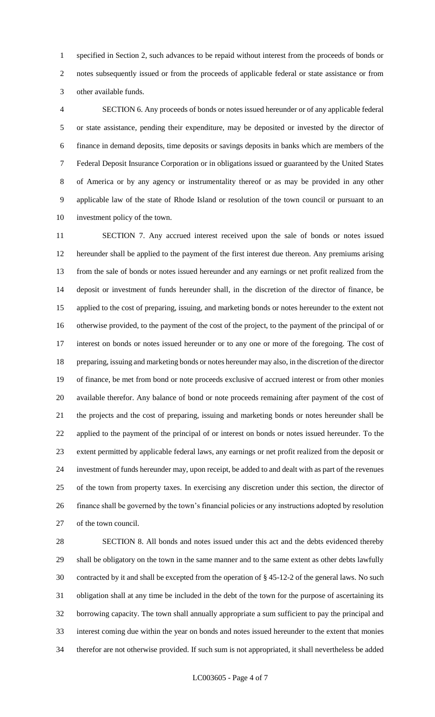specified in Section 2, such advances to be repaid without interest from the proceeds of bonds or notes subsequently issued or from the proceeds of applicable federal or state assistance or from other available funds.

 SECTION 6. Any proceeds of bonds or notes issued hereunder or of any applicable federal or state assistance, pending their expenditure, may be deposited or invested by the director of finance in demand deposits, time deposits or savings deposits in banks which are members of the Federal Deposit Insurance Corporation or in obligations issued or guaranteed by the United States of America or by any agency or instrumentality thereof or as may be provided in any other applicable law of the state of Rhode Island or resolution of the town council or pursuant to an investment policy of the town.

 SECTION 7. Any accrued interest received upon the sale of bonds or notes issued hereunder shall be applied to the payment of the first interest due thereon. Any premiums arising from the sale of bonds or notes issued hereunder and any earnings or net profit realized from the deposit or investment of funds hereunder shall, in the discretion of the director of finance, be applied to the cost of preparing, issuing, and marketing bonds or notes hereunder to the extent not otherwise provided, to the payment of the cost of the project, to the payment of the principal of or interest on bonds or notes issued hereunder or to any one or more of the foregoing. The cost of preparing, issuing and marketing bonds or notes hereunder may also, in the discretion of the director of finance, be met from bond or note proceeds exclusive of accrued interest or from other monies available therefor. Any balance of bond or note proceeds remaining after payment of the cost of the projects and the cost of preparing, issuing and marketing bonds or notes hereunder shall be applied to the payment of the principal of or interest on bonds or notes issued hereunder. To the extent permitted by applicable federal laws, any earnings or net profit realized from the deposit or investment of funds hereunder may, upon receipt, be added to and dealt with as part of the revenues of the town from property taxes. In exercising any discretion under this section, the director of finance shall be governed by the town's financial policies or any instructions adopted by resolution of the town council.

 SECTION 8. All bonds and notes issued under this act and the debts evidenced thereby shall be obligatory on the town in the same manner and to the same extent as other debts lawfully contracted by it and shall be excepted from the operation of § 45-12-2 of the general laws. No such obligation shall at any time be included in the debt of the town for the purpose of ascertaining its borrowing capacity. The town shall annually appropriate a sum sufficient to pay the principal and interest coming due within the year on bonds and notes issued hereunder to the extent that monies therefor are not otherwise provided. If such sum is not appropriated, it shall nevertheless be added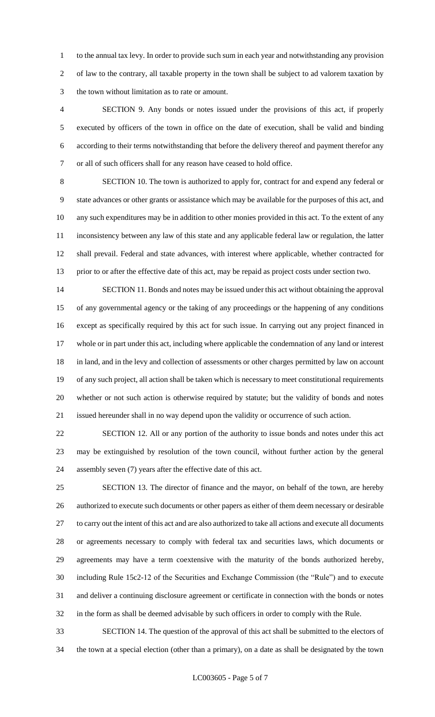to the annual tax levy. In order to provide such sum in each year and notwithstanding any provision of law to the contrary, all taxable property in the town shall be subject to ad valorem taxation by the town without limitation as to rate or amount.

 SECTION 9. Any bonds or notes issued under the provisions of this act, if properly executed by officers of the town in office on the date of execution, shall be valid and binding according to their terms notwithstanding that before the delivery thereof and payment therefor any or all of such officers shall for any reason have ceased to hold office.

 SECTION 10. The town is authorized to apply for, contract for and expend any federal or state advances or other grants or assistance which may be available for the purposes of this act, and any such expenditures may be in addition to other monies provided in this act. To the extent of any inconsistency between any law of this state and any applicable federal law or regulation, the latter shall prevail. Federal and state advances, with interest where applicable, whether contracted for prior to or after the effective date of this act, may be repaid as project costs under section two.

 SECTION 11. Bonds and notes may be issued under this act without obtaining the approval of any governmental agency or the taking of any proceedings or the happening of any conditions except as specifically required by this act for such issue. In carrying out any project financed in whole or in part under this act, including where applicable the condemnation of any land or interest in land, and in the levy and collection of assessments or other charges permitted by law on account of any such project, all action shall be taken which is necessary to meet constitutional requirements whether or not such action is otherwise required by statute; but the validity of bonds and notes issued hereunder shall in no way depend upon the validity or occurrence of such action.

 SECTION 12. All or any portion of the authority to issue bonds and notes under this act may be extinguished by resolution of the town council, without further action by the general assembly seven (7) years after the effective date of this act.

 SECTION 13. The director of finance and the mayor, on behalf of the town, are hereby authorized to execute such documents or other papers as either of them deem necessary or desirable to carry out the intent of this act and are also authorized to take all actions and execute all documents or agreements necessary to comply with federal tax and securities laws, which documents or agreements may have a term coextensive with the maturity of the bonds authorized hereby, including Rule 15c2-12 of the Securities and Exchange Commission (the "Rule") and to execute and deliver a continuing disclosure agreement or certificate in connection with the bonds or notes in the form as shall be deemed advisable by such officers in order to comply with the Rule.

 SECTION 14. The question of the approval of this act shall be submitted to the electors of the town at a special election (other than a primary), on a date as shall be designated by the town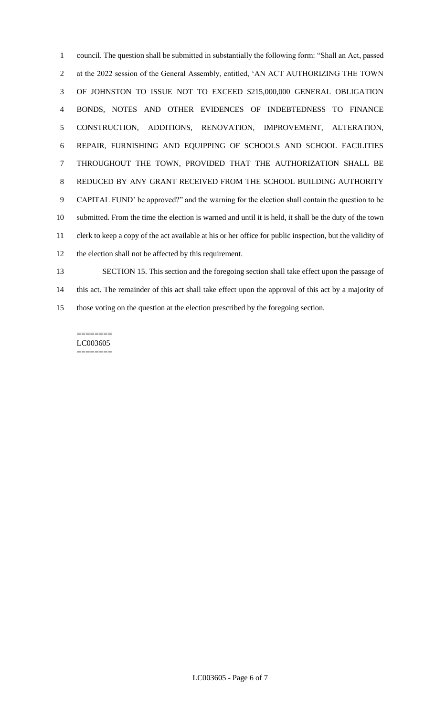council. The question shall be submitted in substantially the following form: "Shall an Act, passed at the 2022 session of the General Assembly, entitled, 'AN ACT AUTHORIZING THE TOWN OF JOHNSTON TO ISSUE NOT TO EXCEED \$215,000,000 GENERAL OBLIGATION BONDS, NOTES AND OTHER EVIDENCES OF INDEBTEDNESS TO FINANCE CONSTRUCTION, ADDITIONS, RENOVATION, IMPROVEMENT, ALTERATION, REPAIR, FURNISHING AND EQUIPPING OF SCHOOLS AND SCHOOL FACILITIES THROUGHOUT THE TOWN, PROVIDED THAT THE AUTHORIZATION SHALL BE REDUCED BY ANY GRANT RECEIVED FROM THE SCHOOL BUILDING AUTHORITY CAPITAL FUND' be approved?" and the warning for the election shall contain the question to be submitted. From the time the election is warned and until it is held, it shall be the duty of the town clerk to keep a copy of the act available at his or her office for public inspection, but the validity of the election shall not be affected by this requirement. SECTION 15. This section and the foregoing section shall take effect upon the passage of

 this act. The remainder of this act shall take effect upon the approval of this act by a majority of those voting on the question at the election prescribed by the foregoing section.

======== LC003605 ========